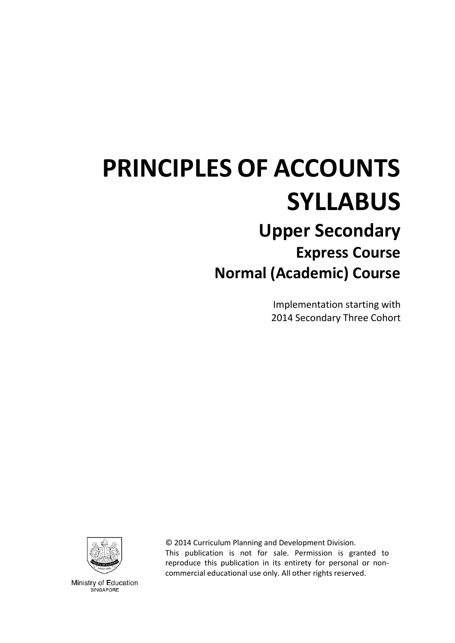# **PRINCIPLES OF ACCOUNTS SYLLABUS Upper Secondary Express Course Normal (Academic) Course**

Implementation starting with 2014 Secondary Three Cohort



© 2014 Curriculum Planning and Development Division. This publication is not for sale. Permission is granted to reproduce this publication in its entirety for personal or noncommercial educational use only. All other rights reserved.

Ministry of Education SINGAPORE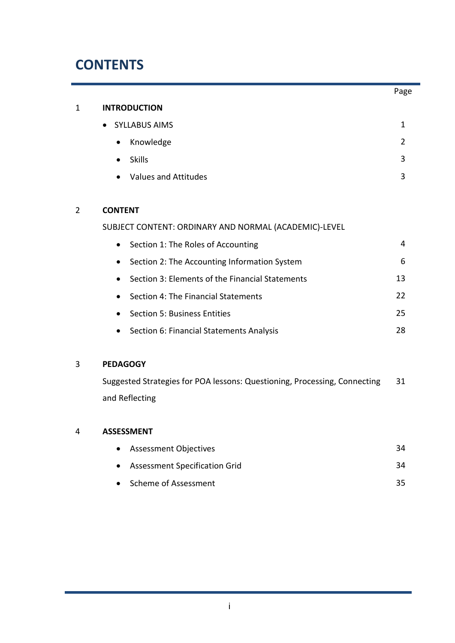## **CONTENTS**

|                |                                                           | Page          |
|----------------|-----------------------------------------------------------|---------------|
| 1              | <b>INTRODUCTION</b>                                       |               |
|                | <b>SYLLABUS AIMS</b>                                      | $\mathbf{1}$  |
|                | Knowledge                                                 | $\mathcal{P}$ |
|                | <b>Skills</b>                                             | 3             |
|                | <b>Values and Attitudes</b>                               | 3             |
|                |                                                           |               |
| $\overline{2}$ | <b>CONTENT</b>                                            |               |
|                | SUBJECT CONTENT: ORDINARY AND NORMAL (ACADEMIC)-LEVEL     |               |
|                | Section 1: The Roles of Accounting<br>$\bullet$           | 4             |
|                | Section 2: The Accounting Information System<br>$\bullet$ | 6             |
|                | Section 3: Elements of the Financial Statements           | 13            |
|                | Section 4: The Financial Statements                       | 22            |
|                | Section 5: Business Entities                              | 25            |
|                | Section 6: Financial Statements Analysis                  | 28            |
|                |                                                           |               |

### 3 **PEDAGOGY**

Suggested Strategies for POA lessons: Questioning, Processing, Connecting and Reflecting 31

### 4 **ASSESSMENT**

| • Assessment Objectives         | 34 |
|---------------------------------|----|
| • Assessment Specification Grid | 34 |
| • Scheme of Assessment          | 35 |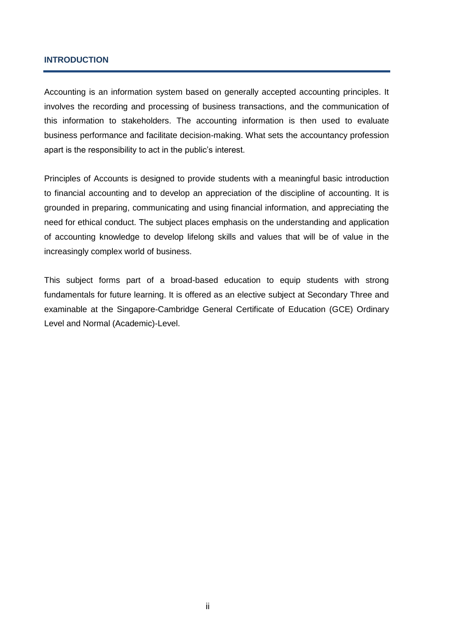#### **INTRODUCTION**

Accounting is an information system based on generally accepted accounting principles. It involves the recording and processing of business transactions, and the communication of this information to stakeholders. The accounting information is then used to evaluate business performance and facilitate decision-making. What sets the accountancy profession apart is the responsibility to act in the public's interest.

Principles of Accounts is designed to provide students with a meaningful basic introduction to financial accounting and to develop an appreciation of the discipline of accounting. It is grounded in preparing, communicating and using financial information, and appreciating the need for ethical conduct. The subject places emphasis on the understanding and application of accounting knowledge to develop lifelong skills and values that will be of value in the increasingly complex world of business.

This subject forms part of a broad-based education to equip students with strong fundamentals for future learning. It is offered as an elective subject at Secondary Three and examinable at the Singapore-Cambridge General Certificate of Education (GCE) Ordinary Level and Normal (Academic)-Level.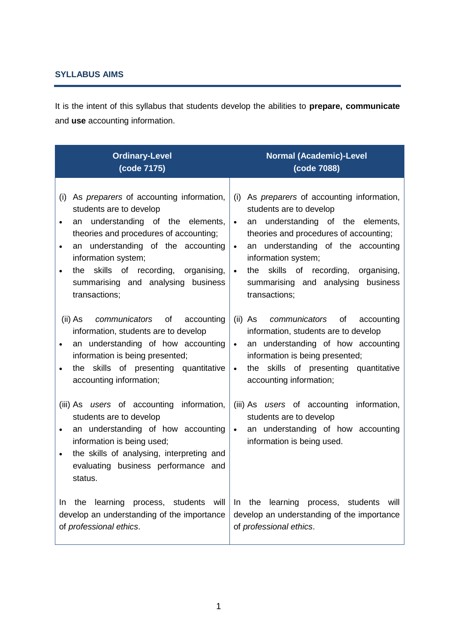### **SYLLABUS AIMS**

It is the intent of this syllabus that students develop the abilities to **prepare, communicate** and **use** accounting information.

| <b>Ordinary-Level</b>                                                                                                                                                                                                                                             | <b>Normal (Academic)-Level</b>                                                                                                                                                                                                                     |
|-------------------------------------------------------------------------------------------------------------------------------------------------------------------------------------------------------------------------------------------------------------------|----------------------------------------------------------------------------------------------------------------------------------------------------------------------------------------------------------------------------------------------------|
| (code 7175)                                                                                                                                                                                                                                                       | (code 7088)                                                                                                                                                                                                                                        |
| As <i>preparers</i> of accounting information,                                                                                                                                                                                                                    | (i) As preparers of accounting information,                                                                                                                                                                                                        |
| (i)                                                                                                                                                                                                                                                               | students are to develop                                                                                                                                                                                                                            |
| students are to develop                                                                                                                                                                                                                                           | an understanding of the elements,                                                                                                                                                                                                                  |
| an understanding of the elements,                                                                                                                                                                                                                                 | $\bullet$                                                                                                                                                                                                                                          |
| $\bullet$                                                                                                                                                                                                                                                         | theories and procedures of accounting;                                                                                                                                                                                                             |
| theories and procedures of accounting;                                                                                                                                                                                                                            | an understanding of the accounting                                                                                                                                                                                                                 |
| an understanding of the accounting                                                                                                                                                                                                                                | $\bullet$                                                                                                                                                                                                                                          |
| $\bullet$                                                                                                                                                                                                                                                         | information system;                                                                                                                                                                                                                                |
| information system;                                                                                                                                                                                                                                               | the skills of recording, organising,                                                                                                                                                                                                               |
| the skills of recording, organising,                                                                                                                                                                                                                              | $\bullet$                                                                                                                                                                                                                                          |
| $\bullet$                                                                                                                                                                                                                                                         | summarising and analysing                                                                                                                                                                                                                          |
| summarising and analysing business                                                                                                                                                                                                                                | business                                                                                                                                                                                                                                           |
| transactions;                                                                                                                                                                                                                                                     | transactions;                                                                                                                                                                                                                                      |
| (ii) As<br><i>communicators</i> of<br>accounting<br>information, students are to develop<br>an understanding of how accounting<br>$\bullet$<br>information is being presented;<br>the skills of presenting quantitative<br>$\bullet$<br>accounting information;   | (ii) As communicators of accounting<br>information, students are to develop<br>an understanding of how accounting<br>$\bullet$<br>information is being presented;<br>the skills of presenting quantitative<br>$\bullet$<br>accounting information; |
| (iii) As users of accounting information,<br>students are to develop<br>an understanding of how accounting<br>$\bullet$<br>information is being used;<br>the skills of analysing, interpreting and<br>$\bullet$<br>evaluating business performance and<br>status. | (iii) As users of accounting information,<br>students are to develop<br>an understanding of how accounting<br>$\bullet$<br>information is being used.                                                                                              |
| the                                                                                                                                                                                                                                                               | the learning process, students                                                                                                                                                                                                                     |
| learning process, students will                                                                                                                                                                                                                                   | In                                                                                                                                                                                                                                                 |
| In.                                                                                                                                                                                                                                                               | will                                                                                                                                                                                                                                               |
| develop an understanding of the importance                                                                                                                                                                                                                        | develop an understanding of the importance                                                                                                                                                                                                         |
| of professional ethics.                                                                                                                                                                                                                                           | of professional ethics.                                                                                                                                                                                                                            |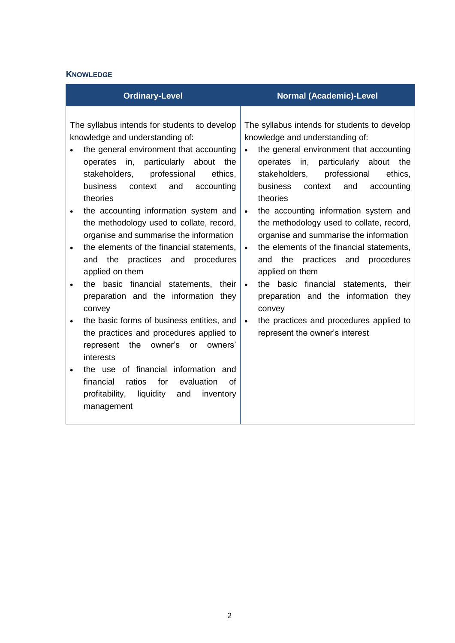### **KNOWLEDGE**

| <b>Ordinary-Level</b>                                                                                                                                                                                                                                                                                                                                                                                                                                                                                                                                                                                                                                                                                                                                                                                                                                                                                                                                                                                                           | <b>Normal (Academic)-Level</b>                                                                                                                                                                                                                                                                                                                                                                                                                                                                                                                                                                                                                                                               |
|---------------------------------------------------------------------------------------------------------------------------------------------------------------------------------------------------------------------------------------------------------------------------------------------------------------------------------------------------------------------------------------------------------------------------------------------------------------------------------------------------------------------------------------------------------------------------------------------------------------------------------------------------------------------------------------------------------------------------------------------------------------------------------------------------------------------------------------------------------------------------------------------------------------------------------------------------------------------------------------------------------------------------------|----------------------------------------------------------------------------------------------------------------------------------------------------------------------------------------------------------------------------------------------------------------------------------------------------------------------------------------------------------------------------------------------------------------------------------------------------------------------------------------------------------------------------------------------------------------------------------------------------------------------------------------------------------------------------------------------|
| The syllabus intends for students to develop<br>knowledge and understanding of:<br>the general environment that accounting<br>$\bullet$<br>operates in, particularly about the<br>professional<br>ethics.<br>stakeholders,<br><b>business</b><br>context<br>and<br>accounting<br>theories<br>the accounting information system and<br>$\bullet$<br>$\bullet$<br>the methodology used to collate, record,<br>organise and summarise the information<br>the elements of the financial statements,<br>$\bullet$<br>$\bullet$<br>practices and procedures<br>and the<br>applied on them<br>the basic financial statements, their<br>$\bullet$<br>preparation and the information they<br>convey<br>the basic forms of business entities, and<br>$\bullet$<br>the practices and procedures applied to<br>the<br>owner's<br>owners'<br>represent<br><b>or</b><br>interests<br>the use of financial information and<br>for<br>financial<br>ratios<br>evaluation<br>Ωf<br>profitability,<br>liquidity<br>and<br>inventory<br>management | The syllabus intends for students to develop<br>knowledge and understanding of:<br>the general environment that accounting<br>operates in,<br>particularly about the<br>professional<br>ethics.<br>stakeholders,<br>business<br>context<br>and<br>accounting<br>theories<br>the accounting information system and<br>the methodology used to collate, record,<br>organise and summarise the information<br>the elements of the financial statements,<br>the<br>practices and<br>procedures<br>and<br>applied on them<br>the basic financial statements, their<br>preparation and the information they<br>convey<br>the practices and procedures applied to<br>represent the owner's interest |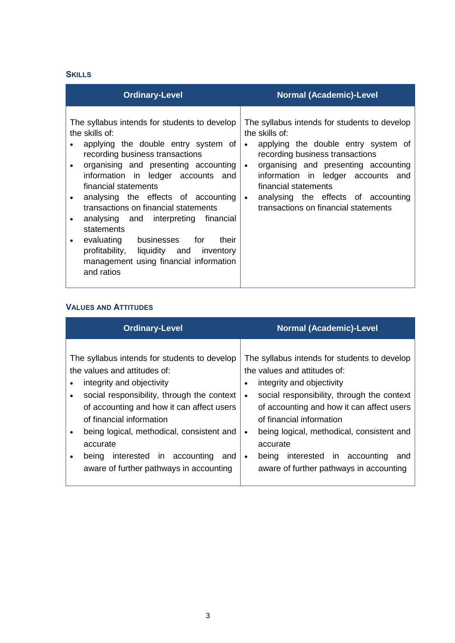### **SKILLS**

| <b>Ordinary-Level</b>                                                                                                                                                                                                                                                                                                                                                                                                                                                                                                                                 | <b>Normal (Academic)-Level</b>                                                                                                                                                                                                                                                                                                                                       |
|-------------------------------------------------------------------------------------------------------------------------------------------------------------------------------------------------------------------------------------------------------------------------------------------------------------------------------------------------------------------------------------------------------------------------------------------------------------------------------------------------------------------------------------------------------|----------------------------------------------------------------------------------------------------------------------------------------------------------------------------------------------------------------------------------------------------------------------------------------------------------------------------------------------------------------------|
| The syllabus intends for students to develop<br>the skills of:<br>applying the double entry system of<br>recording business transactions<br>organising and presenting accounting<br>information in ledger accounts and<br>financial statements<br>analysing the effects of accounting<br>transactions on financial statements<br>analysing and interpreting financial<br>$\bullet$<br>statements<br>evaluating businesses for<br>their<br>$\bullet$<br>profitability, liquidity and inventory<br>management using financial information<br>and ratios | The syllabus intends for students to develop<br>the skills of:<br>applying the double entry system of<br>$\bullet$<br>recording business transactions<br>organising and presenting accounting<br>$\bullet$<br>information in ledger accounts and<br>financial statements<br>analysing the effects of accounting<br>$\bullet$<br>transactions on financial statements |

#### **VALUES AND ATTITUDES**

| <b>Ordinary-Level</b>                        | <b>Normal (Academic)-Level</b>               |
|----------------------------------------------|----------------------------------------------|
| The syllabus intends for students to develop | The syllabus intends for students to develop |
| the values and attitudes of:                 | the values and attitudes of:                 |
| integrity and objectivity                    | integrity and objectivity                    |
| social responsibility, through the context   | ٠                                            |
| of accounting and how it can affect users    | social responsibility, through the context   |
| of financial information                     | of accounting and how it can affect users    |
| being logical, methodical, consistent and    | of financial information                     |
| $\bullet$                                    | being logical, methodical, consistent and    |
| accurate                                     | accurate                                     |
| interested in accounting                     | interested in accounting                     |
| being                                        | being                                        |
| and                                          | and                                          |
| $\bullet$                                    | $\bullet$                                    |
| aware of further pathways in accounting      | aware of further pathways in accounting      |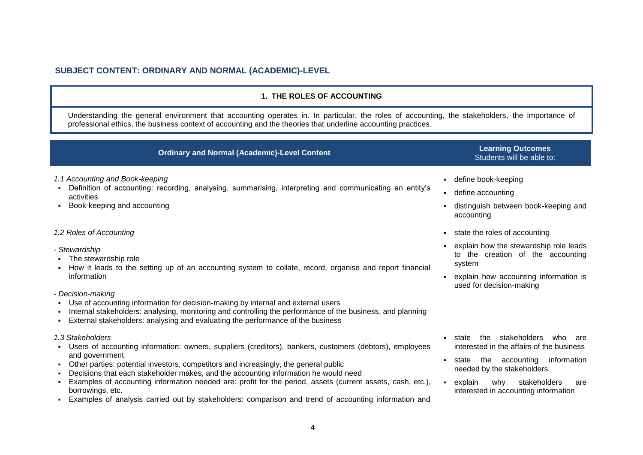#### **SUBJECT CONTENT: ORDINARY AND NORMAL (ACADEMIC)-LEVEL**

#### **1. THE ROLES OF ACCOUNTING**

Understanding the general environment that accounting operates in. In particular, the roles of accounting, the stakeholders, the importance of professional ethics, the business context of accounting and the theories that underline accounting practices.

| <b>Ordinary and Normal (Academic)-Level Content</b>                                                                                                                                                                                                                                                                                                                                                                                                                                                                                                                                                                                                                                                                                                                     | <b>Learning Outcomes</b><br>Students will be able to:                                                                                                                                                                                                 |
|-------------------------------------------------------------------------------------------------------------------------------------------------------------------------------------------------------------------------------------------------------------------------------------------------------------------------------------------------------------------------------------------------------------------------------------------------------------------------------------------------------------------------------------------------------------------------------------------------------------------------------------------------------------------------------------------------------------------------------------------------------------------------|-------------------------------------------------------------------------------------------------------------------------------------------------------------------------------------------------------------------------------------------------------|
| 1.1 Accounting and Book-keeping<br>Definition of accounting: recording, analysing, summarising, interpreting and communicating an entity's<br>activities<br>Book-keeping and accounting                                                                                                                                                                                                                                                                                                                                                                                                                                                                                                                                                                                 | - define book-keeping<br>• define accounting<br>distinguish between book-keeping and<br>accounting                                                                                                                                                    |
| 1.2 Roles of Accounting<br>- Stewardship<br>The stewardship role<br>How it leads to the setting up of an accounting system to collate, record, organise and report financial<br>information<br>- Decision-making<br>Use of accounting information for decision-making by internal and external users                                                                                                                                                                                                                                                                                                                                                                                                                                                                    | state the roles of accounting<br>explain how the stewardship role leads<br>to the creation of the accounting<br>system<br>explain how accounting information is<br>used for decision-making                                                           |
| Internal stakeholders: analysing, monitoring and controlling the performance of the business, and planning<br>External stakeholders: analysing and evaluating the performance of the business<br>1.3 Stakeholders<br>Users of accounting information: owners, suppliers (creditors), bankers, customers (debtors), employees<br>and government<br>Other parties: potential investors, competitors and increasingly, the general public<br>Decisions that each stakeholder makes, and the accounting information he would need<br>Examples of accounting information needed are: profit for the period, assets (current assets, cash, etc.),<br>borrowings, etc.<br>Examples of analysis carried out by stakeholders: comparison and trend of accounting information and | stakeholders<br>the<br>state<br>who<br>are<br>interested in the affairs of the business<br>accounting<br>information<br>the<br>state<br>needed by the stakeholders<br>- explain<br>stakeholders<br>why<br>are<br>interested in accounting information |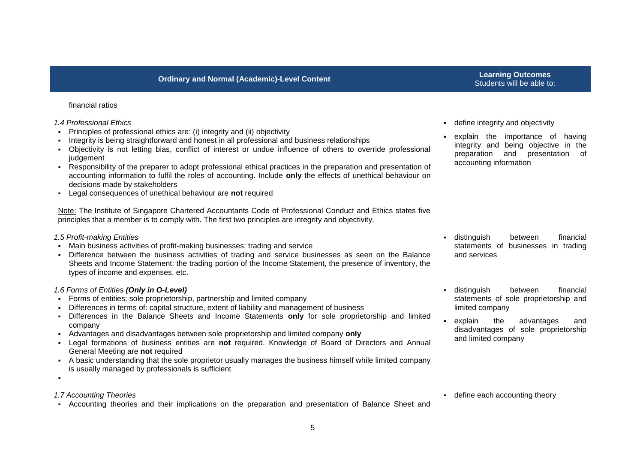## Students will be able to:

#### financial ratios

- *1.4 Professional Ethics*
- Principles of professional ethics are: (i) integrity and (ii) objectivity
- Integrity is being straightforward and honest in all professional and business relationships
- Objectivity is not letting bias, conflict of interest or undue influence of others to override professional judgement
- Responsibility of the preparer to adopt professional ethical practices in the preparation and presentation of accounting information to fulfil the roles of accounting. Include **only** the effects of unethical behaviour on decisions made by stakeholders
- Legal consequences of unethical behaviour are **not** required

Note: The Institute of Singapore Chartered Accountants Code of Professional Conduct and Ethics states five principles that a member is to comply with. The first two principles are integrity and objectivity.

#### *1.5 Profit-making Entities*

- Main business activities of profit-making businesses: trading and service
- Difference between the business activities of trading and service businesses as seen on the Balance Sheets and Income Statement: the trading portion of the Income Statement, the presence of inventory, the types of income and expenses, etc.

#### *1.6 Forms of Entities (Only in O-Level)*

- Forms of entities: sole proprietorship, partnership and limited company
- Differences in terms of: capital structure, extent of liability and management of business
- Differences in the Balance Sheets and Income Statements **only** for sole proprietorship and limited company
- Advantages and disadvantages between sole proprietorship and limited company **only**
- Legal formations of business entities are **not** required. Knowledge of Board of Directors and Annual General Meeting are **not** required
- A basic understanding that the sole proprietor usually manages the business himself while limited company is usually managed by professionals is sufficient
- .

#### *1.7 Accounting Theories*

Accounting theories and their implications on the preparation and presentation of Balance Sheet and

- define integrity and objectivity
- explain the importance of having integrity and being objective in the preparation and presentation of accounting information

- distinguish between financial statements of businesses in trading and services
- distinguish between financial statements of sole proprietorship and limited company
- explain the advantages and disadvantages of sole proprietorship and limited company

define each accounting theory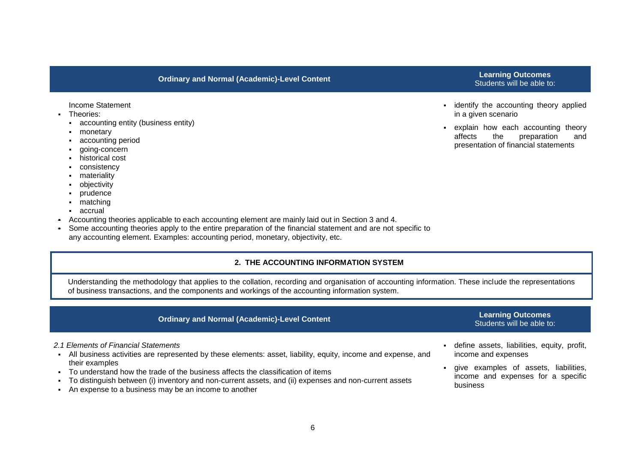Income Statement

- **Theories:** 
	- accounting entity (business entity)
	- monetary
	- accounting period
	- aoing-concern
	- historical cost
	- **consistency**
	- **•** materiality
	- **-** objectivity
	- **•** prudence
	- matching
	- accrual
- Accounting theories applicable to each accounting element are mainly laid out in Section 3 and 4.
- Some accounting theories apply to the entire preparation of the financial statement and are not specific to any accounting element. Examples: accounting period, monetary, objectivity, etc.

#### **2. THE ACCOUNTING INFORMATION SYSTEM**

Understanding the methodology that applies to the collation, recording and organisation of accounting information. These include the representations of business transactions, and the components and workings of the accounting information system.

## **Ordinary and Normal (Academic)-Level Content Learning Outcomes**

#### *2.1 Elements of Financial Statements*

- All business activities are represented by these elements: asset, liability, equity, income and expense, and their examples
- To understand how the trade of the business affects the classification of items
- To distinguish between (i) inventory and non-current assets, and (ii) expenses and non-current assets
- An expense to a business may be an income to another
- **i** identify the accounting theory applied in a given scenario
- explain how each accounting theory affects the preparation and presentation of financial statements

## Students will be able to:

- define assets, liabilities, equity, profit, income and expenses
- give examples of assets, liabilities, income and expenses for a specific business

## Students will be able to: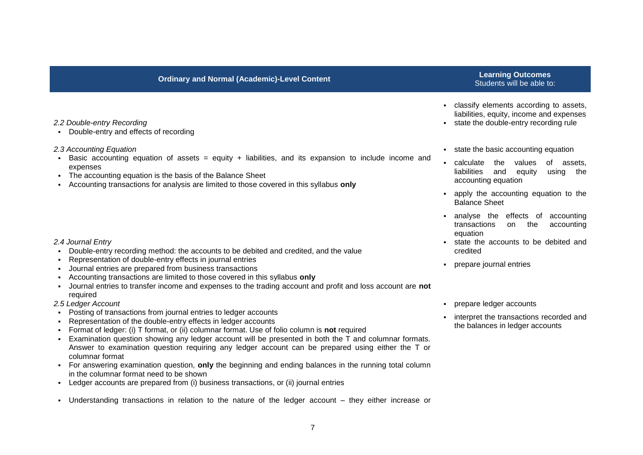## Students will be able to:

- classify elements according to assets, liabilities, equity, income and expenses
- state the double-entry recording rule
- **state the basic accounting equation**
- calculate the values of assets, liabilities and equity using the accounting equation
- apply the accounting equation to the Balance Sheet
- analyse the effects of accounting transactions on the accounting equation
- state the accounts to be debited and credited
- prepare journal entries
- prepare ledger accounts
- **EXEC** interpret the transactions recorded and the balances in ledger accounts

#### *2.2 Double-entry Recording*

Double-entry and effects of recording

#### *2.3 Accounting Equation*

- Basic accounting equation of assets  $=$  equity  $+$  liabilities, and its expansion to include income and expenses
- The accounting equation is the basis of the Balance Sheet
- Accounting transactions for analysis are limited to those covered in this syllabus **only**

#### *2.4 Journal Entry*

- Double-entry recording method: the accounts to be debited and credited, and the value
- Representation of double-entry effects in journal entries
- Journal entries are prepared from business transactions
- Accounting transactions are limited to those covered in this syllabus **only**
- Journal entries to transfer income and expenses to the trading account and profit and loss account are **not** required

#### *2.5 Ledger Account*

- Posting of transactions from journal entries to ledger accounts
- Representation of the double-entry effects in ledger accounts
- Format of ledger: (i) T format, or (ii) columnar format. Use of folio column is **not** required
- Examination question showing any ledger account will be presented in both the  $\bar{T}$  and columnar formats. Answer to examination question requiring any ledger account can be prepared using either the T or columnar format
- For answering examination question, **only** the beginning and ending balances in the running total column in the columnar format need to be shown
- Ledger accounts are prepared from (i) business transactions, or (ii) journal entries
- Understanding transactions in relation to the nature of the ledger account they either increase or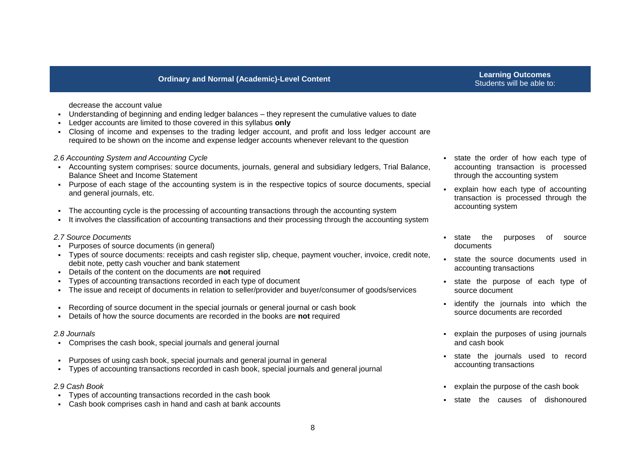decrease the account value

- Understanding of beginning and ending ledger balances they represent the cumulative values to date
- Ledger accounts are limited to those covered in this syllabus **only**
- Closing of income and expenses to the trading ledger account, and profit and loss ledger account are required to be shown on the income and expense ledger accounts whenever relevant to the question

#### *2.6 Accounting System and Accounting Cycle*

- Accounting system comprises: source documents, journals, general and subsidiary ledgers, Trial Balance, Balance Sheet and Income Statement
- Purpose of each stage of the accounting system is in the respective topics of source documents, special and general journals, etc.
- The accounting cycle is the processing of accounting transactions through the accounting system
- It involves the classification of accounting transactions and their processing through the accounting system

#### *2.7 Source Documents*

- Purposes of source documents (in general)
- Types of source documents: receipts and cash register slip, cheque, payment voucher, invoice, credit note, debit note, petty cash voucher and bank statement
- Details of the content on the documents are **not** required
- Types of accounting transactions recorded in each type of document
- The issue and receipt of documents in relation to seller/provider and buyer/consumer of goods/services
- Recording of source document in the special journals or general journal or cash book
- Details of how the source documents are recorded in the books are **not** required

#### *2.8 Journals*

- Comprises the cash book, special journals and general journal
- Purposes of using cash book, special journals and general journal in general
- Types of accounting transactions recorded in cash book, special journals and general journal

#### *2.9 Cash Book*

- Types of accounting transactions recorded in the cash book
- Cash book comprises cash in hand and cash at bank accounts
- state the order of how each type of accounting transaction is processed through the accounting system
- explain how each type of accounting transaction is processed through the accounting system
- state the purposes of source documents
- state the source documents used in accounting transactions
- state the purpose of each type of source document
- **i** identify the journals into which the source documents are recorded
- explain the purposes of using journals and cash book
- state the journals used to record accounting transactions
- explain the purpose of the cash book
- state the causes of dishonoured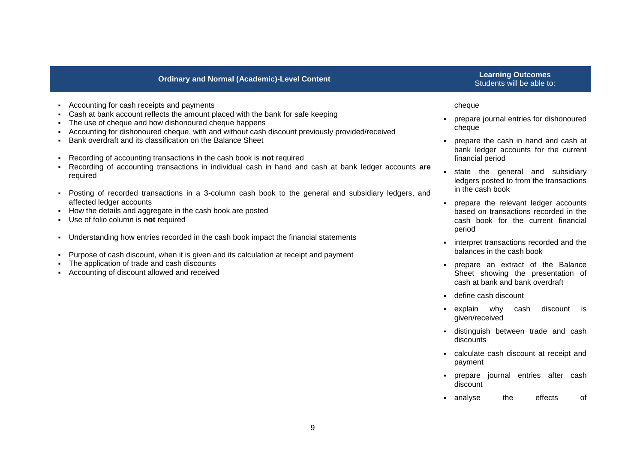## Students will be able to:

- Accounting for cash receipts and payments
- Cash at bank account reflects the amount placed with the bank for safe keeping
- The use of cheque and how dishonoured cheque happens
- Accounting for dishonoured cheque, with and without cash discount previously provided/received
- Bank overdraft and its classification on the Balance Sheet
- Recording of accounting transactions in the cash book is **not** required
- Recording of accounting transactions in individual cash in hand and cash at bank ledger accounts **are**  required
- Posting of recorded transactions in a 3-column cash book to the general and subsidiary ledgers, and affected ledger accounts
- How the details and aggregate in the cash book are posted
- Use of folio column is **not** required
- Understanding how entries recorded in the cash book impact the financial statements
- Purpose of cash discount, when it is given and its calculation at receipt and payment
- The application of trade and cash discounts
- Accounting of discount allowed and received

#### cheque

- prepare journal entries for dishonoured cheque
- prepare the cash in hand and cash at bank ledger accounts for the current financial period
- state the general and subsidiary ledgers posted to from the transactions in the cash book
- prepare the relevant ledger accounts based on transactions recorded in the cash book for the current financial period
- interpret transactions recorded and the balances in the cash book
- prepare an extract of the Balance Sheet showing the presentation of cash at bank and bank overdraft
- define cash discount
- explain why cash discount is given/received
- distinguish between trade and cash discounts
- calculate cash discount at receipt and payment
- prepare journal entries after cash discount
- analyse the effects of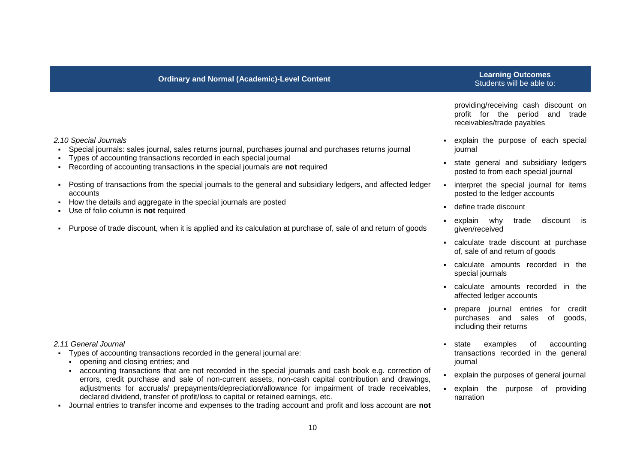## Students will be able to:

providing/receiving cash discount on profit for the period and trade receivables/trade payables

- explain the purpose of each special journal
- state general and subsidiary ledgers posted to from each special journal
- **EXEDENT** interpret the special journal for items posted to the ledger accounts
- define trade discount
- explain why trade discount is given/received
- calculate trade discount at purchase of, sale of and return of goods
- calculate amounts recorded in the special journals
- calculate amounts recorded in the affected ledger accounts
- prepare journal entries for credit purchases and sales of goods, including their returns
- state examples of accounting transactions recorded in the general journal
- explain the purposes of general journal
- explain the purpose of providing narration

#### *2.10 Special Journals*

- Special journals: sales journal, sales returns journal, purchases journal and purchases returns journal
- Types of accounting transactions recorded in each special journal
- Recording of accounting transactions in the special journals are **not** required
- Posting of transactions from the special journals to the general and subsidiary ledgers, and affected ledger accounts
- How the details and aggregate in the special journals are posted
- Use of folio column is **not** required
- Purpose of trade discount, when it is applied and its calculation at purchase of, sale of and return of goods

#### *2.11 General Journal*

- Types of accounting transactions recorded in the general journal are:
	- opening and closing entries; and
	- accounting transactions that are not recorded in the special journals and cash book e.g. correction of errors, credit purchase and sale of non-current assets, non-cash capital contribution and drawings, adjustments for accruals/ prepayments/depreciation/allowance for impairment of trade receivables, declared dividend, transfer of profit/loss to capital or retained earnings, etc.
- Journal entries to transfer income and expenses to the trading account and profit and loss account are **not**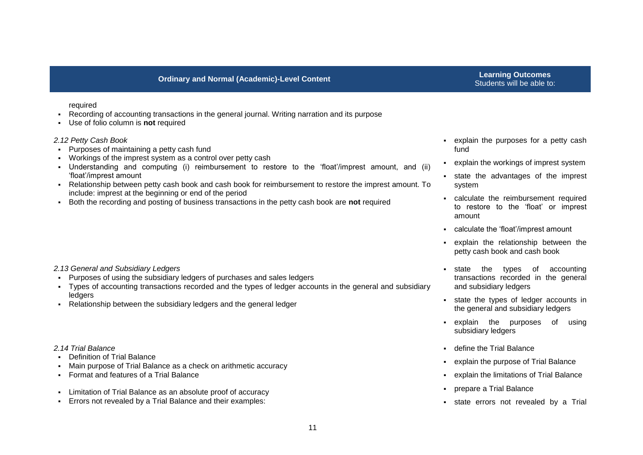## Students will be able to:

#### required

- Recording of accounting transactions in the general journal. Writing narration and its purpose
- Use of folio column is **not** required

#### *2.12 Petty Cash Book*

- Purposes of maintaining a petty cash fund
- Workings of the imprest system as a control over petty cash
- Understanding and computing (i) reimbursement to restore to the 'float'/imprest amount, and (ii) 'float'/imprest amount
- Relationship between petty cash book and cash book for reimbursement to restore the imprest amount. To include: imprest at the beginning or end of the period
- Both the recording and posting of business transactions in the petty cash book are **not** required

#### *2.13 General and Subsidiary Ledgers*

- Purposes of using the subsidiary ledgers of purchases and sales ledgers
- Types of accounting transactions recorded and the types of ledger accounts in the general and subsidiary **ledgers**
- Relationship between the subsidiary ledgers and the general ledger

#### *2.14 Trial Balance*

- Definition of Trial Balance
- Main purpose of Trial Balance as a check on arithmetic accuracy
- Format and features of a Trial Balance
- Limitation of Trial Balance as an absolute proof of accuracy
- Errors not revealed by a Trial Balance and their examples:
- explain the purposes for a petty cash fund
- explain the workings of imprest system
- state the advantages of the imprest system
- calculate the reimbursement required to restore to the 'float' or imprest amount
- calculate the 'float'/imprest amount
- explain the relationship between the petty cash book and cash book
- state the types of accounting transactions recorded in the general and subsidiary ledgers
- state the types of ledger accounts in the general and subsidiary ledgers
- explain the purposes of using subsidiary ledgers
- define the Trial Balance
- explain the purpose of Trial Balance
- explain the limitations of Trial Balance
- prepare a Trial Balance
- state errors not revealed by a Trial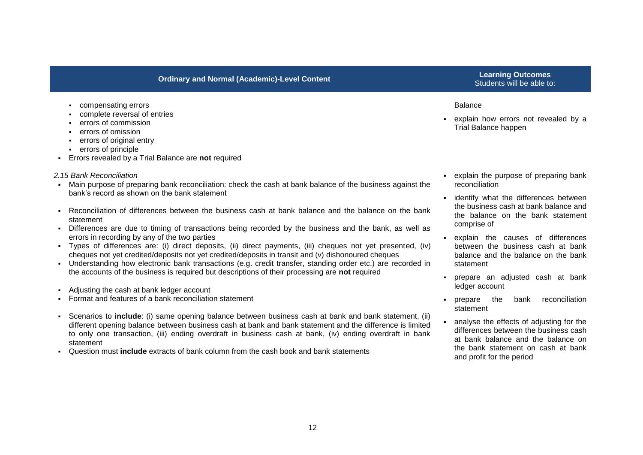- compensating errors
- complete reversal of entries
- errors of commission
- errors of omission
- errors of original entry
- errors of principle
- Errors revealed by a Trial Balance are **not** required

#### *2.15 Bank Reconciliation*

- Main purpose of preparing bank reconciliation: check the cash at bank balance of the business against the bank's record as shown on the bank statement
- Reconciliation of differences between the business cash at bank balance and the balance on the bank statement
- Differences are due to timing of transactions being recorded by the business and the bank, as well as errors in recording by any of the two parties
- Types of differences are: (i) direct deposits, (ii) direct payments, (iii) cheques not yet presented, (iv) cheques not yet credited/deposits not yet credited/deposits in transit and (v) dishonoured cheques
- Understanding how electronic bank transactions (e.g. credit transfer, standing order etc.) are recorded in the accounts of the business is required but descriptions of their processing are **not** required
- Adjusting the cash at bank ledger account
- Format and features of a bank reconciliation statement
- Scenarios to **include**: (i) same opening balance between business cash at bank and bank statement, (ii) different opening balance between business cash at bank and bank statement and the difference is limited to only one transaction, (iii) ending overdraft in business cash at bank, (iv) ending overdraft in bank statement
- Question must **include** extracts of bank column from the cash book and bank statements

## Students will be able to:

#### Balance

- explain how errors not revealed by a Trial Balance happen
- explain the purpose of preparing bank reconciliation
- **EXEDENT** identify what the differences between the business cash at bank balance and the balance on the bank statement comprise of
- explain the causes of differences between the business cash at bank balance and the balance on the bank statement
- prepare an adjusted cash at bank ledger account
- prepare the bank reconciliation statement
- analyse the effects of adjusting for the differences between the business cash at bank balance and the balance on the bank statement on cash at bank and profit for the period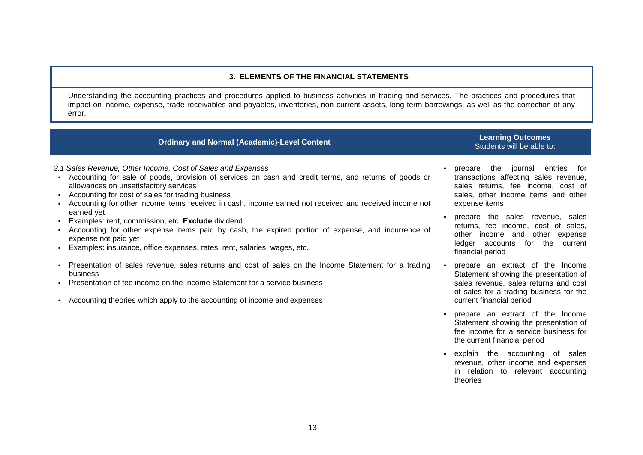#### **3. ELEMENTS OF THE FINANCIAL STATEMENTS**

Understanding the accounting practices and procedures applied to business activities in trading and services. The practices and procedures that impact on income, expense, trade receivables and payables, inventories, non-current assets, long-term borrowings, as well as the correction of any error.

## **Ordinary and Normal (Academic)-Level Content Learning Content <b>Learning Outcomes**

# Students will be able to:

*3.1 Sales Revenue, Other Income, Cost of Sales and Expenses*

- Accounting for sale of goods, provision of services on cash and credit terms, and returns of goods or allowances on unsatisfactory services
- Accounting for cost of sales for trading business
- Accounting for other income items received in cash, income earned not received and received income not earned yet
- Examples: rent, commission, etc. **Exclude** dividend
- Accounting for other expense items paid by cash, the expired portion of expense, and incurrence of expense not paid yet
- Examples: insurance, office expenses, rates, rent, salaries, wages, etc.
- Presentation of sales revenue, sales returns and cost of sales on the Income Statement for a trading business
- Presentation of fee income on the Income Statement for a service business
- Accounting theories which apply to the accounting of income and expenses
- prepare the journal entries for transactions affecting sales revenue, sales returns, fee income, cost of sales, other income items and other expense items
- prepare the sales revenue, sales returns, fee income, cost of sales, other income and other expense ledger accounts for the current financial period
- prepare an extract of the Income Statement showing the presentation of sales revenue, sales returns and cost of sales for a trading business for the current financial period
- prepare an extract of the Income Statement showing the presentation of fee income for a service business for the current financial period
- explain the accounting of sales revenue, other income and expenses in relation to relevant accounting theories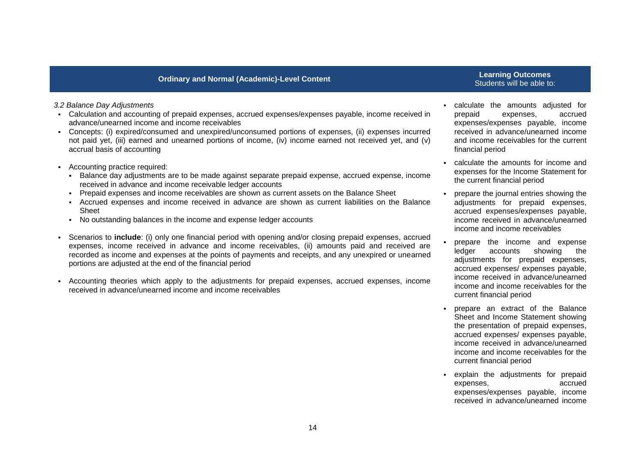## Students will be able to:

#### *3.2 Balance Day Adjustments*

- Calculation and accounting of prepaid expenses, accrued expenses/expenses payable, income received in advance/unearned income and income receivables
- Concepts: (i) expired/consumed and unexpired/unconsumed portions of expenses, (ii) expenses incurred not paid yet, (iii) earned and unearned portions of income, (iv) income earned not received yet, and (v) accrual basis of accounting
- Accounting practice required:
	- Balance day adjustments are to be made against separate prepaid expense, accrued expense, income received in advance and income receivable ledger accounts
	- Prepaid expenses and income receivables are shown as current assets on the Balance Sheet
	- Accrued expenses and income received in advance are shown as current liabilities on the Balance Sheet
	- No outstanding balances in the income and expense ledger accounts
- Scenarios to **include**: (i) only one financial period with opening and/or closing prepaid expenses, accrued expenses, income received in advance and income receivables, (ii) amounts paid and received are recorded as income and expenses at the points of payments and receipts, and any unexpired or unearned portions are adjusted at the end of the financial period
- Accounting theories which apply to the adjustments for prepaid expenses, accrued expenses, income received in advance/unearned income and income receivables
- calculate the amounts adjusted for prepaid expenses, accrued expenses/expenses payable, income received in advance/unearned income and income receivables for the current financial period
- calculate the amounts for income and expenses for the Income Statement for the current financial period
- prepare the journal entries showing the adjustments for prepaid expenses, accrued expenses/expenses payable, income received in advance/unearned income and income receivables
- prepare the income and expense ledger accounts showing the adjustments for prepaid expenses, accrued expenses/ expenses payable, income received in advance/unearned income and income receivables for the current financial period
- prepare an extract of the Balance Sheet and Income Statement showing the presentation of prepaid expenses, accrued expenses/ expenses payable, income received in advance/unearned income and income receivables for the current financial period
- explain the adjustments for prepaid expenses, accrued expenses/expenses payable, income received in advance/unearned income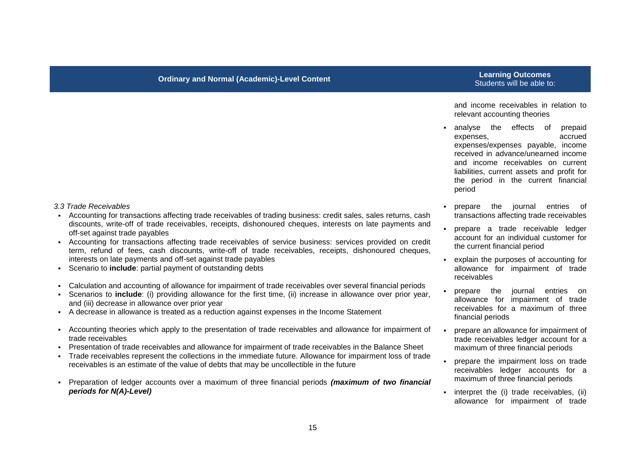and income receivables in relation to relevant accounting theories

- analyse the effects of prepaid expenses, accrued expenses/expenses payable, income received in advance/unearned income and income receivables on current liabilities, current assets and profit for the period in the current financial period
- prepare the journal entries of transactions affecting trade receivables
- prepare a trade receivable ledger account for an individual customer for the current financial period
- explain the purposes of accounting for allowance for impairment of trade receivables
- prepare the journal entries on allowance for impairment of trade receivables for a maximum of three financial periods
- prepare an allowance for impairment of trade receivables ledger account for a maximum of three financial periods
- prepare the impairment loss on trade receivables ledger accounts for a maximum of three financial periods
- $\blacksquare$  interpret the (i) trade receivables, (ii) allowance for impairment of trade

#### *3.3 Trade Receivables*

- Accounting for transactions affecting trade receivables of trading business: credit sales, sales returns, cash discounts, write-off of trade receivables, receipts, dishonoured cheques, interests on late payments and off-set against trade payables
- Accounting for transactions affecting trade receivables of service business: services provided on credit term, refund of fees, cash discounts, write-off of trade receivables, receipts, dishonoured cheques, interests on late payments and off-set against trade payables
- Scenario to **include**: partial payment of outstanding debts
- Calculation and accounting of allowance for impairment of trade receivables over several financial periods
- Scenarios to **include**: (i) providing allowance for the first time, (ii) increase in allowance over prior year, and (iii) decrease in allowance over prior year
- A decrease in allowance is treated as a reduction against expenses in the Income Statement
- Accounting theories which apply to the presentation of trade receivables and allowance for impairment of trade receivables
- Presentation of trade receivables and allowance for impairment of trade receivables in the Balance Sheet
- Trade receivables represent the collections in the immediate future. Allowance for impairment loss of trade receivables is an estimate of the value of debts that may be uncollectible in the future
- Preparation of ledger accounts over a maximum of three financial periods *(maximum of two financial periods for N(A)-Level)*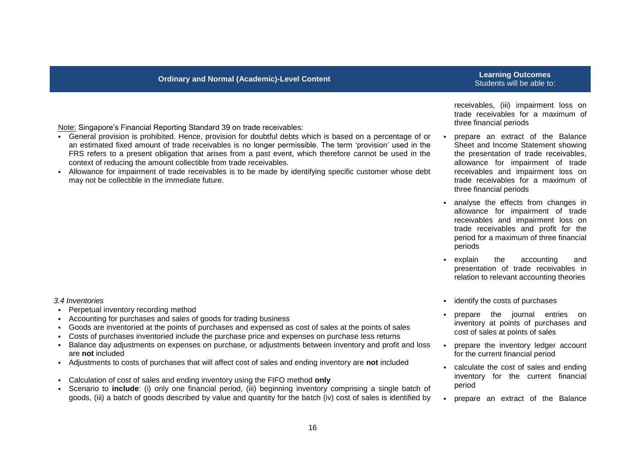### **Ordinary and Normal (Academic)-Level Content Learning Content of the Content of Content of the Content of Test**

## Students will be able to:

Note: Singapore's Financial Reporting Standard 39 on trade receivables:

- General provision is prohibited. Hence, provision for doubtful debts which is based on a percentage of or an estimated fixed amount of trade receivables is no longer permissible. The term 'provision' used in the FRS refers to a present obligation that arises from a past event, which therefore cannot be used in the context of reducing the amount collectible from trade receivables.
- Allowance for impairment of trade receivables is to be made by identifying specific customer whose debt may not be collectible in the immediate future.

*3.4 Inventories*

- Perpetual inventory recording method
- Accounting for purchases and sales of goods for trading business
- Goods are inventoried at the points of purchases and expensed as cost of sales at the points of sales
- Costs of purchases inventoried include the purchase price and expenses on purchase less returns
- Balance day adjustments on expenses on purchase, or adjustments between inventory and profit and loss are **not** included
- Adjustments to costs of purchases that will affect cost of sales and ending inventory are **not** included
- Calculation of cost of sales and ending inventory using the FIFO method **only**
- Scenario to **include**: (i) only one financial period, (iii) beginning inventory comprising a single batch of goods, (iii) a batch of goods described by value and quantity for the batch (iv) cost of sales is identified by

receivables, (iii) impairment loss on trade receivables for a maximum of three financial periods

- prepare an extract of the Balance Sheet and Income Statement showing the presentation of trade receivables, allowance for impairment of trade receivables and impairment loss on trade receivables for a maximum of three financial periods
- analyse the effects from changes in allowance for impairment of trade receivables and impairment loss on trade receivables and profit for the period for a maximum of three financial periods
- explain the accounting and presentation of trade receivables in relation to relevant accounting theories
- **identify the costs of purchases**
- prepare the journal entries on inventory at points of purchases and cost of sales at points of sales
- prepare the inventory ledger account for the current financial period
- calculate the cost of sales and ending inventory for the current financial period
- prepare an extract of the Balance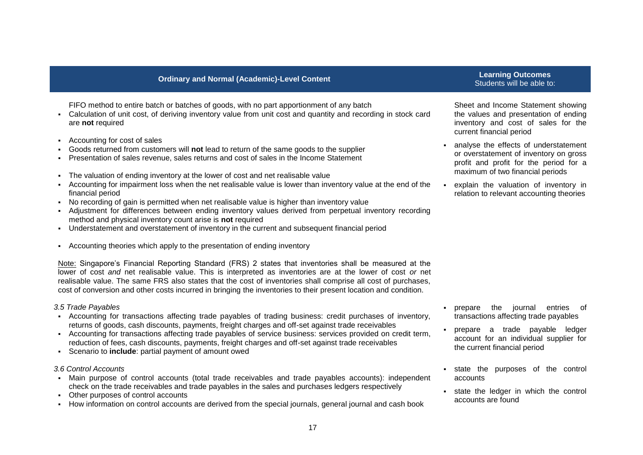FIFO method to entire batch or batches of goods, with no part apportionment of any batch

- Calculation of unit cost, of deriving inventory value from unit cost and quantity and recording in stock card are **not** required
- Accounting for cost of sales
- Goods returned from customers will **not** lead to return of the same goods to the supplier
- Presentation of sales revenue, sales returns and cost of sales in the Income Statement
- The valuation of ending inventory at the lower of cost and net realisable value
- Accounting for impairment loss when the net realisable value is lower than inventory value at the end of the financial period
- No recording of gain is permitted when net realisable value is higher than inventory value
- Adjustment for differences between ending inventory values derived from perpetual inventory recording method and physical inventory count arise is **not** required
- Understatement and overstatement of inventory in the current and subsequent financial period
- Accounting theories which apply to the presentation of ending inventory

Note: Singapore's Financial Reporting Standard (FRS) 2 states that inventories shall be measured at the lower of cost *and* net realisable value. This is interpreted as inventories are at the lower of cost *or* net realisable value. The same FRS also states that the cost of inventories shall comprise all cost of purchases, cost of conversion and other costs incurred in bringing the inventories to their present location and condition.

#### *3.5 Trade Payables*

- Accounting for transactions affecting trade payables of trading business: credit purchases of inventory, returns of goods, cash discounts, payments, freight charges and off-set against trade receivables
- Accounting for transactions affecting trade payables of service business: services provided on credit term, reduction of fees, cash discounts, payments, freight charges and off-set against trade receivables
- Scenario to **include**: partial payment of amount owed

#### *3.6 Control Accounts*

- Main purpose of control accounts (total trade receivables and trade payables accounts): independent check on the trade receivables and trade payables in the sales and purchases ledgers respectively
- Other purposes of control accounts
- How information on control accounts are derived from the special journals, general journal and cash book

## Students will be able to:

Sheet and Income Statement showing the values and presentation of ending inventory and cost of sales for the current financial period

- analyse the effects of understatement or overstatement of inventory on gross profit and profit for the period for a maximum of two financial periods
- explain the valuation of inventory in relation to relevant accounting theories

- **prepare** the journal entries of transactions affecting trade payables
- prepare a trade payable ledger account for an individual supplier for the current financial period
- state the purposes of the control accounts
- state the ledger in which the control accounts are found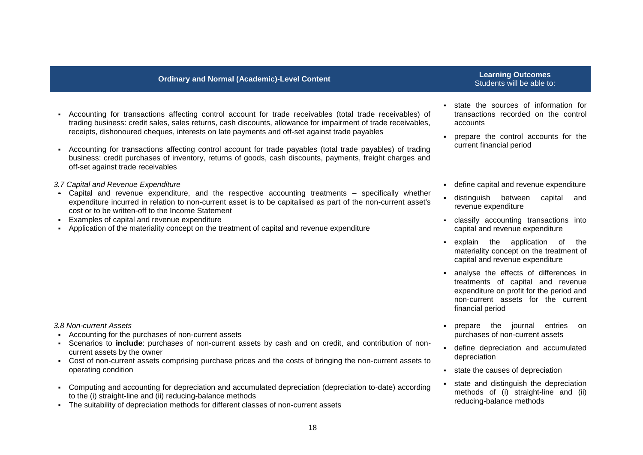- Accounting for transactions affecting control account for trade receivables (total trade receivables) of trading business: credit sales, sales returns, cash discounts, allowance for impairment of trade receivables, receipts, dishonoured cheques, interests on late payments and off-set against trade payables
- Accounting for transactions affecting control account for trade payables (total trade payables) of trading business: credit purchases of inventory, returns of goods, cash discounts, payments, freight charges and off-set against trade receivables
- *3.7 Capital and Revenue Expenditure*
- Capital and revenue expenditure, and the respective accounting treatments specifically whether expenditure incurred in relation to non-current asset is to be capitalised as part of the non-current asset's cost or to be written-off to the Income Statement
- Examples of capital and revenue expenditure
- Application of the materiality concept on the treatment of capital and revenue expenditure

## Students will be able to:

- state the sources of information for transactions recorded on the control accounts
- prepare the control accounts for the current financial period
- define capital and revenue expenditure
- distinguish between capital and revenue expenditure
- classify accounting transactions into capital and revenue expenditure
- explain the application of the materiality concept on the treatment of capital and revenue expenditure
- analyse the effects of differences in treatments of capital and revenue expenditure on profit for the period and non-current assets for the current financial period
- **prepare** the journal entries on purchases of non-current assets
- define depreciation and accumulated depreciation
- state the causes of depreciation
- state and distinguish the depreciation methods of (i) straight-line and (ii) reducing-balance methods

#### *3.8 Non-current Assets*

- Accounting for the purchases of non-current assets
- Scenarios to **include**: purchases of non-current assets by cash and on credit, and contribution of noncurrent assets by the owner
- Cost of non-current assets comprising purchase prices and the costs of bringing the non-current assets to operating condition
- Computing and accounting for depreciation and accumulated depreciation (depreciation to-date) according to the (i) straight-line and (ii) reducing-balance methods
- The suitability of depreciation methods for different classes of non-current assets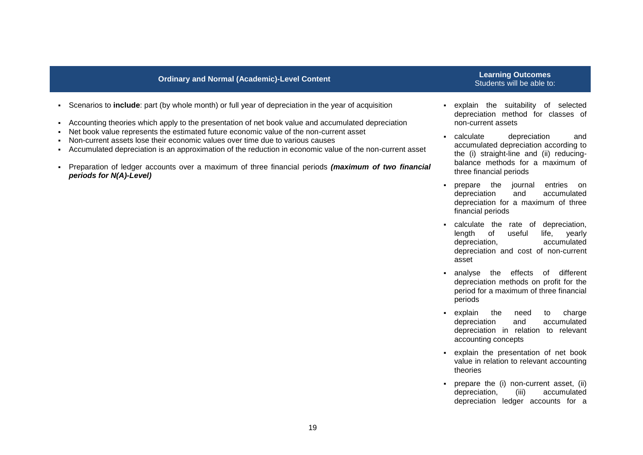- Scenarios to **include**: part (by whole month) or full year of depreciation in the year of acquisition
- Accounting theories which apply to the presentation of net book value and accumulated depreciation
- Net book value represents the estimated future economic value of the non-current asset
- Non-current assets lose their economic values over time due to various causes
- Accumulated depreciation is an approximation of the reduction in economic value of the non-current asset
- Preparation of ledger accounts over a maximum of three financial periods *(maximum of two financial periods for N(A)-Level)*

## Students will be able to:

- explain the suitability of selected depreciation method for classes of non-current assets
- calculate depreciation and accumulated depreciation according to the (i) straight-line and (ii) reducingbalance methods for a maximum of three financial periods
- **prepare** the journal entries on depreciation and accumulated depreciation for a maximum of three financial periods
- calculate the rate of depreciation, length of useful life, yearly depreciation, accumulated depreciation and cost of non-current asset
- analyse the effects of different depreciation methods on profit for the period for a maximum of three financial periods
- explain the need to charge depreciation and accumulated depreciation in relation to relevant accounting concepts
- explain the presentation of net book value in relation to relevant accounting theories
- prepare the (i) non-current asset, (ii) depreciation, (iii) accumulated depreciation ledger accounts for a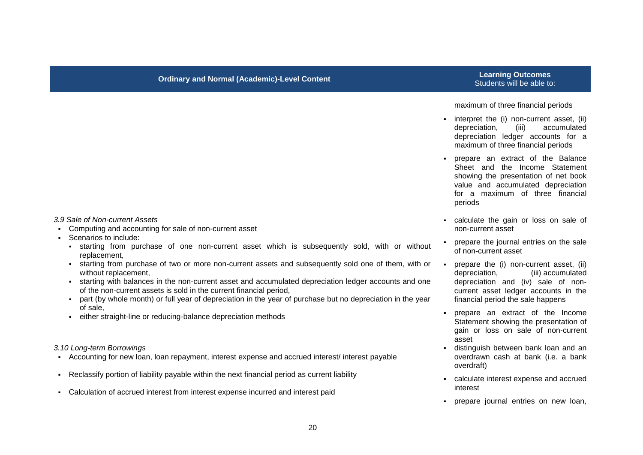## Students will be able to:

#### maximum of three financial periods

- **EXECUTE:** interpret the (i) non-current asset, (ii) depreciation, (iii) accumulated depreciation ledger accounts for a maximum of three financial periods
- prepare an extract of the Balance Sheet and the Income Statement showing the presentation of net book value and accumulated depreciation for a maximum of three financial periods
- calculate the gain or loss on sale of non-current asset
- **prepare the journal entries on the sale** of non-current asset
- prepare the (i) non-current asset, (ii) depreciation, (iii) accumulated depreciation and (iv) sale of noncurrent asset ledger accounts in the financial period the sale happens
- prepare an extract of the Income Statement showing the presentation of gain or loss on sale of non-current asset
- distinguish between bank loan and an overdrawn cash at bank (i.e. a bank overdraft)
- calculate interest expense and accrued interest
- prepare journal entries on new loan,

#### *3.9 Sale of Non-current Assets*

- Computing and accounting for sale of non-current asset
- Scenarios to include:
	- starting from purchase of one non-current asset which is subsequently sold, with or without replacement,
	- starting from purchase of two or more non-current assets and subsequently sold one of them, with or without replacement.
	- starting with balances in the non-current asset and accumulated depreciation ledger accounts and one of the non-current assets is sold in the current financial period,
	- part (by whole month) or full year of depreciation in the year of purchase but no depreciation in the year of sale,
	- either straight-line or reducing-balance depreciation methods

*3.10 Long-term Borrowings*

- Accounting for new loan, loan repayment, interest expense and accrued interest/ interest payable
- Reclassify portion of liability payable within the next financial period as current liability
- Calculation of accrued interest from interest expense incurred and interest paid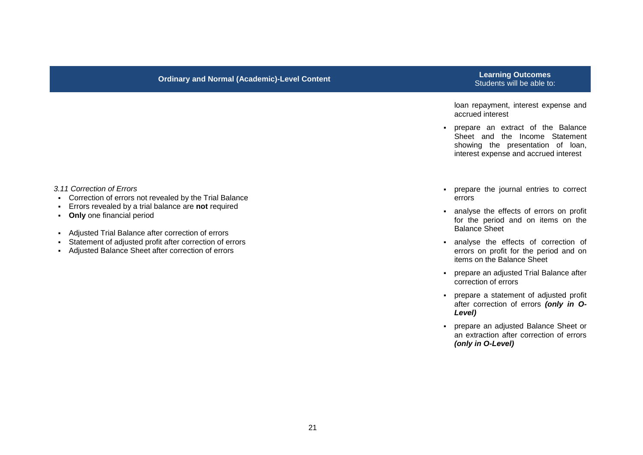## Students will be able to:

loan repayment, interest expense and accrued interest

 prepare an extract of the Balance Sheet and the Income Statement showing the presentation of loan, interest expense and accrued interest

- *3.11 Correction of Errors*
- Correction of errors not revealed by the Trial Balance
- Errors revealed by a trial balance are **not** required
- **Only** one financial period
- Adjusted Trial Balance after correction of errors
- Statement of adjusted profit after correction of errors
- Adjusted Balance Sheet after correction of errors
- prepare the journal entries to correct errors
- analyse the effects of errors on profit for the period and on items on the Balance Sheet
- analyse the effects of correction of errors on profit for the period and on items on the Balance Sheet
- prepare an adjusted Trial Balance after correction of errors
- prepare a statement of adjusted profit after correction of errors *(only in O-Level)*
- prepare an adjusted Balance Sheet or an extraction after correction of errors *(only in O-Level)*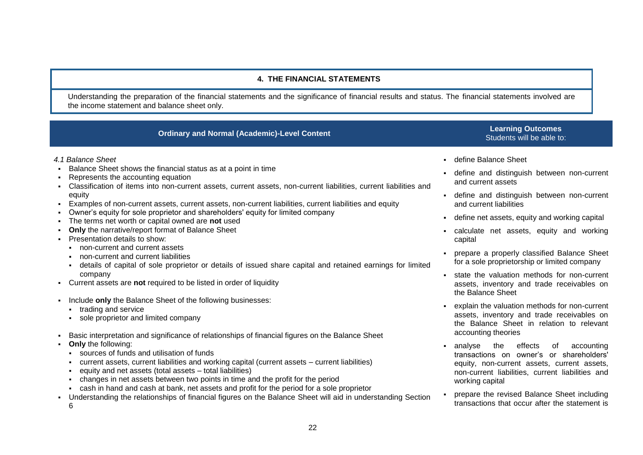#### **4. THE FINANCIAL STATEMENTS**

Understanding the preparation of the financial statements and the significance of financial results and status. The financial statements involved are the income statement and balance sheet only.

### **Ordinary and Normal (Academic)-Level Content Learning Content <b>Learning Outcomes**

# Students will be able to:

- *4.1 Balance Sheet*
- Balance Sheet shows the financial status as at a point in time
- Represents the accounting equation
- Classification of items into non-current assets, current assets, non-current liabilities, current liabilities and equity
- Examples of non-current assets, current assets, non-current liabilities, current liabilities and equity
- Owner's equity for sole proprietor and shareholders' equity for limited company
- The terms net worth or capital owned are **not** used
- **Only** the narrative/report format of Balance Sheet
- **Presentation details to show:** 
	- non-current and current assets
	- non-current and current liabilities
	- details of capital of sole proprietor or details of issued share capital and retained earnings for limited company
- Current assets are **not** required to be listed in order of liquidity
- Include **only** the Balance Sheet of the following businesses:
	- **trading and service**
	- sole proprietor and limited company
- Basic interpretation and significance of relationships of financial figures on the Balance Sheet
- **Only** the following:
	- sources of funds and utilisation of funds
	- current assets, current liabilities and working capital (current assets current liabilities)
	- equity and net assets (total assets total liabilities)
	- changes in net assets between two points in time and the profit for the period
	- cash in hand and cash at bank, net assets and profit for the period for a sole proprietor
- Understanding the relationships of financial figures on the Balance Sheet will aid in understanding Section 6
- define Balance Sheet
- define and distinguish between non-current and current assets
- define and distinguish between non-current and current liabilities
- define net assets, equity and working capital
- calculate net assets, equity and working capital
- **Prepare a properly classified Balance Sheet** for a sole proprietorship or limited company
- state the valuation methods for non-current assets, inventory and trade receivables on the Balance Sheet
- explain the valuation methods for non-current assets, inventory and trade receivables on the Balance Sheet in relation to relevant accounting theories
- analyse the effects of accounting transactions on owner's or shareholders' equity, non-current assets, current assets, non-current liabilities, current liabilities and working capital
- prepare the revised Balance Sheet including transactions that occur after the statement is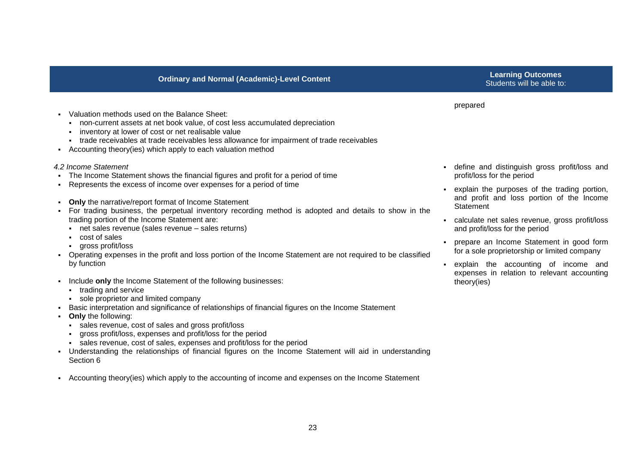prepared

- Valuation methods used on the Balance Sheet:
	- non-current assets at net book value, of cost less accumulated depreciation
	- **i** inventory at lower of cost or net realisable value
	- trade receivables at trade receivables less allowance for impairment of trade receivables
- Accounting theory(ies) which apply to each valuation method

#### *4.2 Income Statement*

- The Income Statement shows the financial figures and profit for a period of time
- Represents the excess of income over expenses for a period of time
- **Only** the narrative/report format of Income Statement
- For trading business, the perpetual inventory recording method is adopted and details to show in the trading portion of the Income Statement are:
	- net sales revenue (sales revenue sales returns)
	- cost of sales
	- gross profit/loss
- Operating expenses in the profit and loss portion of the Income Statement are not required to be classified by function
- Include **only** the Income Statement of the following businesses:
	- **trading and service**
	- sole proprietor and limited company
- Basic interpretation and significance of relationships of financial figures on the Income Statement
- **Only** the following:
	- sales revenue, cost of sales and gross profit/loss
	- gross profit/loss, expenses and profit/loss for the period
	- sales revenue, cost of sales, expenses and profit/loss for the period
- Understanding the relationships of financial figures on the Income Statement will aid in understanding Section 6
- Accounting theory(ies) which apply to the accounting of income and expenses on the Income Statement
- define and distinguish gross profit/loss and profit/loss for the period
- explain the purposes of the trading portion, and profit and loss portion of the Income **Statement**
- calculate net sales revenue, gross profit/loss and profit/loss for the period
- prepare an Income Statement in good form for a sole proprietorship or limited company
- explain the accounting of income and expenses in relation to relevant accounting theory(ies)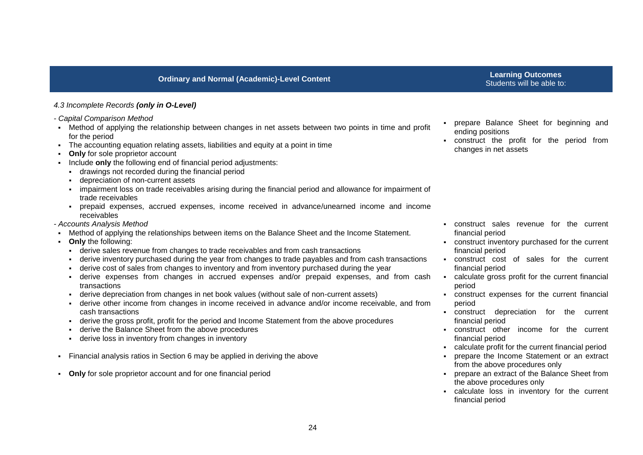## Students will be able to:

#### *4.3 Incomplete Records (only in O-Level)*

- *- Capital Comparison Method*
- Method of applying the relationship between changes in net assets between two points in time and profit for the period
- The accounting equation relating assets, liabilities and equity at a point in time
- **Only** for sole proprietor account
- Include **only** the following end of financial period adjustments:
	- drawings not recorded during the financial period
	- depreciation of non-current assets
	- impairment loss on trade receivables arising during the financial period and allowance for impairment of trade receivables
	- prepaid expenses, accrued expenses, income received in advance/unearned income and income receivables
- *- Accounts Analysis Method*
- Method of applying the relationships between items on the Balance Sheet and the Income Statement.
- **Only** the following:
	- derive sales revenue from changes to trade receivables and from cash transactions
	- derive inventory purchased during the year from changes to trade payables and from cash transactions
	- derive cost of sales from changes to inventory and from inventory purchased during the year
	- derive expenses from changes in accrued expenses and/or prepaid expenses, and from cash transactions
	- derive depreciation from changes in net book values (without sale of non-current assets)
	- derive other income from changes in income received in advance and/or income receivable, and from cash transactions
	- derive the gross profit, profit for the period and Income Statement from the above procedures
	- derive the Balance Sheet from the above procedures
	- derive loss in inventory from changes in inventory
- Financial analysis ratios in Section 6 may be applied in deriving the above
- **Only** for sole proprietor account and for one financial period
- prepare Balance Sheet for beginning and ending positions
- construct the profit for the period from changes in net assets

- construct sales revenue for the current financial period
- construct inventory purchased for the current financial period
- construct cost of sales for the current financial period
- calculate gross profit for the current financial period
- construct expenses for the current financial period
- construct depreciation for the current financial period
- construct other income for the current financial period
- calculate profit for the current financial period
- **Prepare the Income Statement or an extract** from the above procedures only
- prepare an extract of the Balance Sheet from the above procedures only
- calculate loss in inventory for the current financial period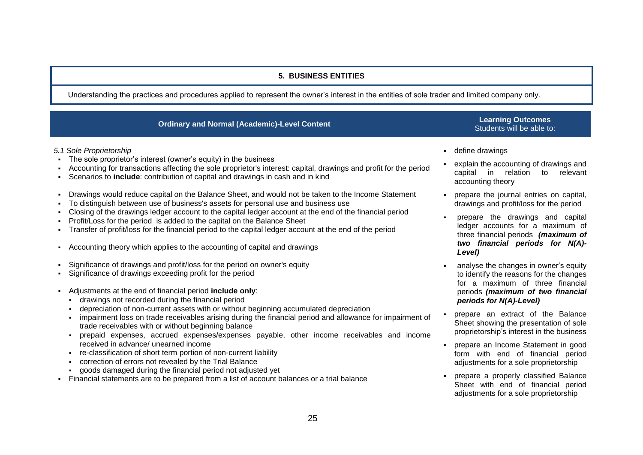#### **5. BUSINESS ENTITIES**

Understanding the practices and procedures applied to represent the owner's interest in the entities of sole trader and limited company only.

| <b>Ordinary and Normal (Academic)-Level Content</b>                                                                                                                                                                                                                                                 | <b>Learning Outcomes</b><br>Students will be able to:                                                                |
|-----------------------------------------------------------------------------------------------------------------------------------------------------------------------------------------------------------------------------------------------------------------------------------------------------|----------------------------------------------------------------------------------------------------------------------|
| 5.1 Sole Proprietorship                                                                                                                                                                                                                                                                             | define drawings                                                                                                      |
| The sole proprietor's interest (owner's equity) in the business<br>- Accounting for transactions affecting the sole proprietor's interest: capital, drawings and profit for the period<br>- Scenarios to <b>include</b> : contribution of capital and drawings in cash and in kind                  | explain the accounting of drawings and<br>relation<br>capital in<br>relevant<br>to<br>accounting theory              |
| - Drawings would reduce capital on the Balance Sheet, and would not be taken to the Income Statement<br>- To distinguish between use of business's assets for personal use and business use                                                                                                         | prepare the journal entries on capital,<br>drawings and profit/loss for the period                                   |
| - Closing of the drawings ledger account to the capital ledger account at the end of the financial period<br>• Profit/Loss for the period is added to the capital on the Balance Sheet<br>- Transfer of profit/loss for the financial period to the capital ledger account at the end of the period | prepare the drawings and capital<br>ledger accounts for a maximum of<br>three financial periods (maximum of          |
| - Accounting theory which applies to the accounting of capital and drawings                                                                                                                                                                                                                         | two financial periods for N(A)-<br>Level)                                                                            |
| • Significance of drawings and profit/loss for the period on owner's equity<br>• Significance of drawings exceeding profit for the period                                                                                                                                                           | analyse the changes in owner's equity<br>to identify the reasons for the changes<br>for a maximum of three financial |
| • Adjustments at the end of financial period include only:<br>drawings not recorded during the financial period                                                                                                                                                                                     | periods (maximum of two financial<br>periods for N(A)-Level)                                                         |

- depreciation of non-current assets with or without beginning accumulated depreciation
- impairment loss on trade receivables arising during the financial period and allowance for impairment of trade receivables with or without beginning balance
- prepaid expenses, accrued expenses/expenses payable, other income receivables and income received in advance/ unearned income
- re-classification of short term portion of non-current liability
- correction of errors not revealed by the Trial Balance
- goods damaged during the financial period not adjusted yet
- Financial statements are to be prepared from a list of account balances or a trial balance

Sheet showing the presentation of sole proprietorship's interest in the business prepare an Income Statement in good

prepare an extract of the Balance

- form with end of financial period adjustments for a sole proprietorship prepare a properly classified Balance
- Sheet with end of financial period adjustments for a sole proprietorship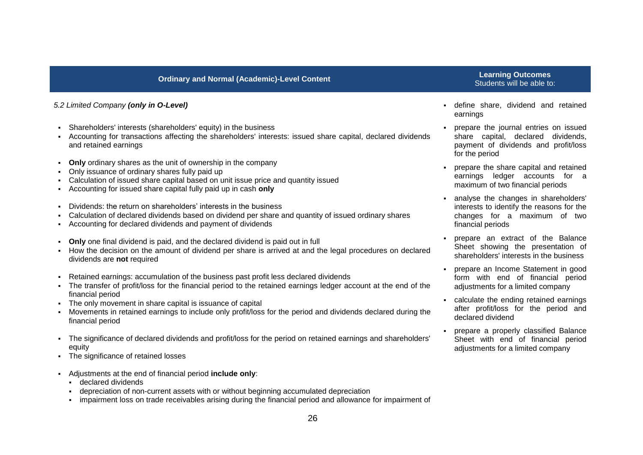#### *5.2 Limited Company (only in O-Level)*

- Shareholders' interests (shareholders' equity) in the business
- Accounting for transactions affecting the shareholders' interests: issued share capital, declared dividends and retained earnings
- **Only** ordinary shares as the unit of ownership in the company
- Only issuance of ordinary shares fully paid up
- Calculation of issued share capital based on unit issue price and quantity issued
- Accounting for issued share capital fully paid up in cash **only**
- Dividends: the return on shareholders' interests in the business
- Calculation of declared dividends based on dividend per share and quantity of issued ordinary shares
- Accounting for declared dividends and payment of dividends
- **Only** one final dividend is paid, and the declared dividend is paid out in full
- How the decision on the amount of dividend per share is arrived at and the legal procedures on declared dividends are **not** required
- Retained earnings: accumulation of the business past profit less declared dividends
- The transfer of profit/loss for the financial period to the retained earnings ledger account at the end of the financial period
- The only movement in share capital is issuance of capital
- Movements in retained earnings to include only profit/loss for the period and dividends declared during the financial period
- The significance of declared dividends and profit/loss for the period on retained earnings and shareholders' equity
- The significance of retained losses
- Adjustments at the end of financial period **include only**:
	- **-** declared dividends
	- depreciation of non-current assets with or without beginning accumulated depreciation
	- impairment loss on trade receivables arising during the financial period and allowance for impairment of

## Students will be able to:

- define share, dividend and retained earnings
- prepare the journal entries on issued share capital, declared dividends, payment of dividends and profit/loss for the period
- prepare the share capital and retained earnings ledger accounts for a maximum of two financial periods
- analyse the changes in shareholders' interests to identify the reasons for the changes for a maximum of two financial periods
- prepare an extract of the Balance Sheet showing the presentation of shareholders' interests in the business
- prepare an Income Statement in good form with end of financial period adjustments for a limited company
- calculate the ending retained earnings after profit/loss for the period and declared dividend
- prepare a properly classified Balance Sheet with end of financial period adjustments for a limited company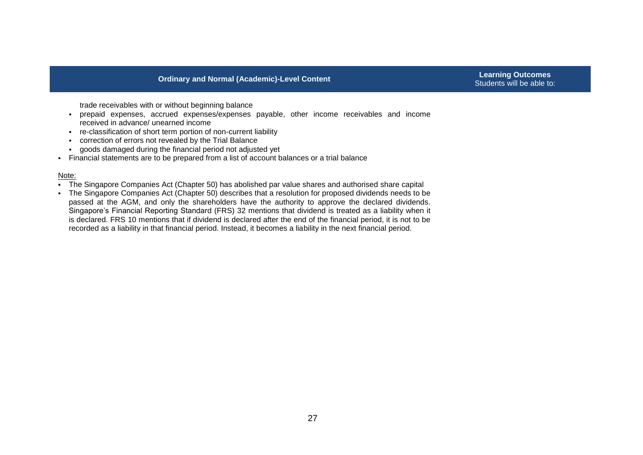Students will be able to:

trade receivables with or without beginning balance

- prepaid expenses, accrued expenses/expenses payable, other income receivables and income received in advance/ unearned income
- re-classification of short term portion of non-current liability
- correction of errors not revealed by the Trial Balance
- goods damaged during the financial period not adjusted yet
- Financial statements are to be prepared from a list of account balances or a trial balance

#### Note:

- The Singapore Companies Act (Chapter 50) has abolished par value shares and authorised share capital
- The Singapore Companies Act (Chapter 50) describes that a resolution for proposed dividends needs to be passed at the AGM, and only the shareholders have the authority to approve the declared dividends. Singapore's Financial Reporting Standard (FRS) 32 mentions that dividend is treated as a liability when it is declared. FRS 10 mentions that if dividend is declared after the end of the financial period, it is not to be recorded as a liability in that financial period. Instead, it becomes a liability in the next financial period.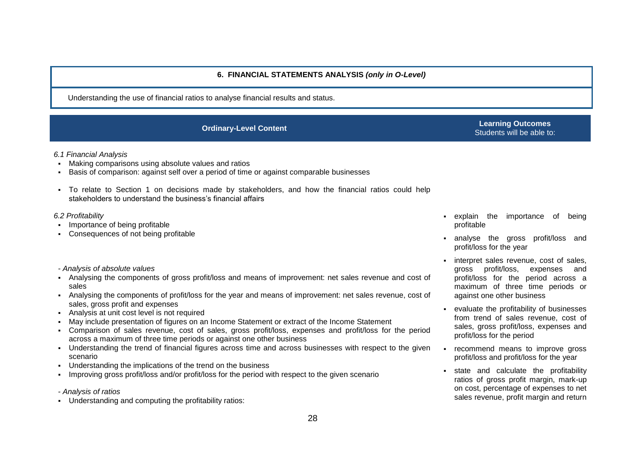#### **6. FINANCIAL STATEMENTS ANALYSIS** *(only in O-Level)*

Understanding the use of financial ratios to analyse financial results and status.

**Ordinary-Level Content Learning Outcomes** Students will be able to:

#### *6.1 Financial Analysis*

- Making comparisons using absolute values and ratios
- Basis of comparison: against self over a period of time or against comparable businesses
- To relate to Section 1 on decisions made by stakeholders, and how the financial ratios could help stakeholders to understand the business's financial affairs

#### *6.2 Profitability*

- Importance of being profitable
- Consequences of not being profitable
- *- Analysis of absolute values*
- Analysing the components of gross profit/loss and means of improvement: net sales revenue and cost of sales
- Analysing the components of profit/loss for the year and means of improvement: net sales revenue, cost of sales, gross profit and expenses
- Analysis at unit cost level is not required
- May include presentation of figures on an Income Statement or extract of the Income Statement
- Comparison of sales revenue, cost of sales, gross profit/loss, expenses and profit/loss for the period across a maximum of three time periods or against one other business
- Understanding the trend of financial figures across time and across businesses with respect to the given scenario
- Understanding the implications of the trend on the business
- Improving gross profit/loss and/or profit/loss for the period with respect to the given scenario
- *- Analysis of ratios*
- Understanding and computing the profitability ratios:
- explain the importance of being profitable
- analyse the gross profit/loss and profit/loss for the year
- **interpret sales revenue, cost of sales,** gross profit/loss, expenses and profit/loss for the period across a maximum of three time periods or against one other business
- evaluate the profitability of businesses from trend of sales revenue, cost of sales, gross profit/loss, expenses and profit/loss for the period
- recommend means to improve gross profit/loss and profit/loss for the year
- state and calculate the profitability ratios of gross profit margin, mark-up on cost, percentage of expenses to net sales revenue, profit margin and return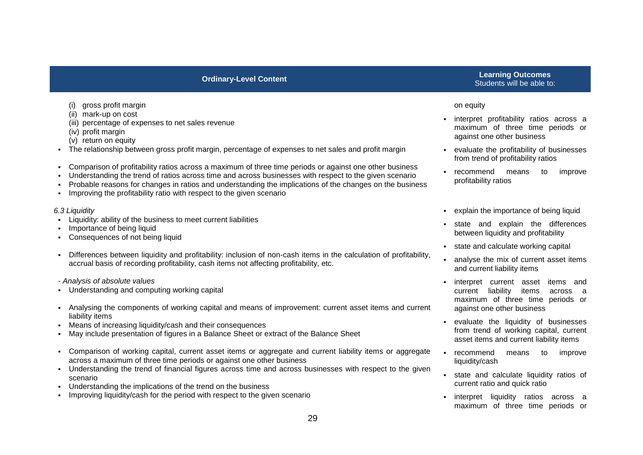#### (i) gross profit margin

- (ii) mark-up on cost
- (iii) percentage of expenses to net sales revenue
- (iv) profit margin
- (v) return on equity
- The relationship between gross profit margin, percentage of expenses to net sales and profit margin
- Comparison of profitability ratios across a maximum of three time periods or against one other business
- Understanding the trend of ratios across time and across businesses with respect to the given scenario
- Probable reasons for changes in ratios and understanding the implications of the changes on the business
- Improving the profitability ratio with respect to the given scenario

#### *6.3 Liquidity*

- Liquidity: ability of the business to meet current liabilities
- Importance of being liquid
- Consequences of not being liquid
- Differences between liquidity and profitability: inclusion of non-cash items in the calculation of profitability, accrual basis of recording profitability, cash items not affecting profitability, etc.
- *- Analysis of absolute values*
- Understanding and computing working capital
- Analysing the components of working capital and means of improvement: current asset items and current liability items
- Means of increasing liquidity/cash and their consequences
- May include presentation of figures in a Balance Sheet or extract of the Balance Sheet
- Comparison of working capital, current asset items or aggregate and current liability items or aggregate across a maximum of three time periods or against one other business
- Understanding the trend of financial figures across time and across businesses with respect to the given scenario
- Understanding the implications of the trend on the business
- Improving liquidity/cash for the period with respect to the given scenario

#### **Ordinary-Level Content Learning Outcomes** Students will be able to:

#### on equity

- **interpret profitability ratios across a** maximum of three time periods or against one other business
- evaluate the profitability of businesses from trend of profitability ratios
- recommend means to improve profitability ratios
- explain the importance of being liquid
- state and explain the differences between liquidity and profitability
- state and calculate working capital
- analyse the mix of current asset items and current liability items
- interpret current asset items and current liability items across a maximum of three time periods or against one other business
- evaluate the liquidity of businesses from trend of working capital, current asset items and current liability items
- recommend means to improve liquidity/cash
- state and calculate liquidity ratios of current ratio and quick ratio
- **interpret liquidity ratios across a** maximum of three time periods or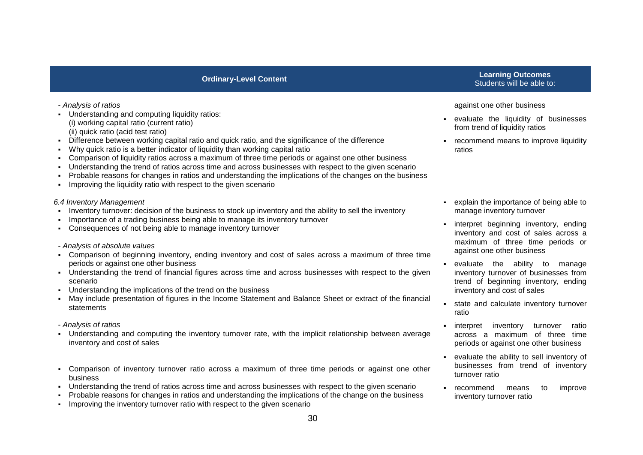- *- Analysis of ratios*
- Understanding and computing liquidity ratios: (i) working capital ratio (current ratio) (ii) quick ratio (acid test ratio)
- Difference between working capital ratio and quick ratio, and the significance of the difference
- Why quick ratio is a better indicator of liquidity than working capital ratio
- Comparison of liquidity ratios across a maximum of three time periods or against one other business
- Understanding the trend of ratios across time and across businesses with respect to the given scenario
- Probable reasons for changes in ratios and understanding the implications of the changes on the business
- Improving the liquidity ratio with respect to the given scenario

#### *6.4 Inventory Management*

- Inventory turnover: decision of the business to stock up inventory and the ability to sell the inventory
- Importance of a trading business being able to manage its inventory turnover
- Consequences of not being able to manage inventory turnover

#### *- Analysis of absolute values*

- Comparison of beginning inventory, ending inventory and cost of sales across a maximum of three time periods or against one other business
- Understanding the trend of financial figures across time and across businesses with respect to the given scenario
- Understanding the implications of the trend on the business
- May include presentation of figures in the Income Statement and Balance Sheet or extract of the financial statements

#### *- Analysis of ratios*

- Understanding and computing the inventory turnover rate, with the implicit relationship between average inventory and cost of sales
- Comparison of inventory turnover ratio across a maximum of three time periods or against one other business
- Understanding the trend of ratios across time and across businesses with respect to the given scenario
- Probable reasons for changes in ratios and understanding the implications of the change on the business
- Improving the inventory turnover ratio with respect to the given scenario

#### **Ordinary-Level Content Learning Outcomes** Students will be able to:

#### against one other business

- evaluate the liquidity of businesses from trend of liquidity ratios
- **Fig.** recommend means to improve liquidity ratios
- explain the importance of being able to manage inventory turnover
- interpret beginning inventory, ending inventory and cost of sales across a maximum of three time periods or against one other business
- evaluate the ability to manage inventory turnover of businesses from trend of beginning inventory, ending inventory and cost of sales
- state and calculate inventory turnover ratio
- interpret inventory turnover ratio across a maximum of three time periods or against one other business
- evaluate the ability to sell inventory of businesses from trend of inventory turnover ratio
- recommend means to improve inventory turnover ratio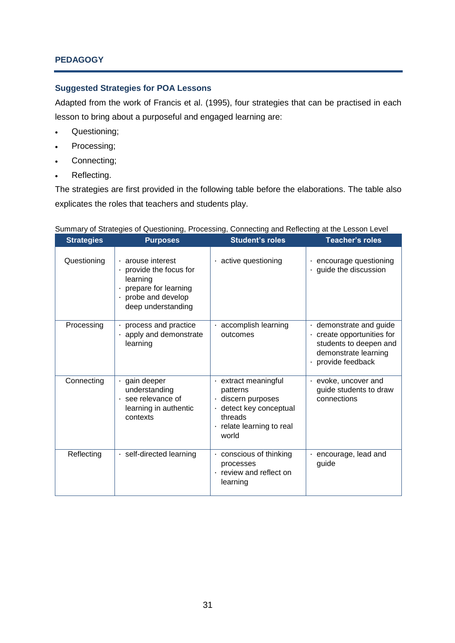### **PEDAGOGY**

#### **Suggested Strategies for POA Lessons**

Adapted from the work of Francis et al. (1995), four strategies that can be practised in each lesson to bring about a purposeful and engaged learning are:

- Questioning;
- Processing;
- Connecting;
- Reflecting.

The strategies are first provided in the following table before the elaborations. The table also explicates the roles that teachers and students play.

| <b>Strategies</b> | or onalogico or adooloning; i roodoonig; oonnooling and rionooling at the Ecocon.<br><b>Purposes</b>                                            | <b>Student's roles</b>                                                                                                         | <b>Teacher's roles</b>                                                                                                                    |
|-------------------|-------------------------------------------------------------------------------------------------------------------------------------------------|--------------------------------------------------------------------------------------------------------------------------------|-------------------------------------------------------------------------------------------------------------------------------------------|
| Questioning       | $\cdot$ arouse interest<br>provide the focus for<br>learning<br>$\cdot$ prepare for learning<br>$\cdot$ probe and develop<br>deep understanding | $\cdot$ active questioning                                                                                                     | encourage questioning<br>٠<br>$\cdot$ guide the discussion                                                                                |
| Processing        | $\cdot$ process and practice<br>apply and demonstrate<br>learning                                                                               | accomplish learning<br>outcomes                                                                                                | $\cdot$ demonstrate and guide<br>$\cdot$ create opportunities for<br>students to deepen and<br>demonstrate learning<br>· provide feedback |
| Connecting        | gain deeper<br>understanding<br>$\cdot$ see relevance of<br>learning in authentic<br>contexts                                                   | · extract meaningful<br>patterns<br>discern purposes<br>· detect key conceptual<br>threads<br>relate learning to real<br>world | $\cdot$ evoke, uncover and<br>guide students to draw<br>connections                                                                       |
| Reflecting        | · self-directed learning                                                                                                                        | conscious of thinking<br>processes<br>review and reflect on<br>learning                                                        | $\cdot$ encourage, lead and<br>guide                                                                                                      |

Summary of Strategies of Questioning, Processing, Connecting and Reflecting at the Lesson Level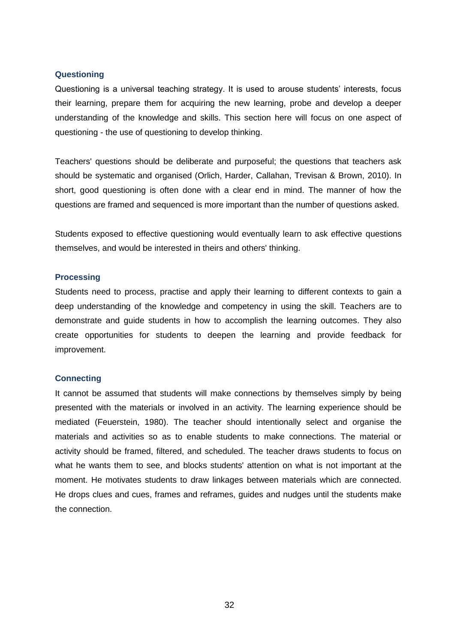#### **Questioning**

Questioning is a universal teaching strategy. It is used to arouse students' interests, focus their learning, prepare them for acquiring the new learning, probe and develop a deeper understanding of the knowledge and skills. This section here will focus on one aspect of questioning - the use of questioning to develop thinking.

Teachers' questions should be deliberate and purposeful; the questions that teachers ask should be systematic and organised (Orlich, Harder, Callahan, Trevisan & Brown, 2010). In short, good questioning is often done with a clear end in mind. The manner of how the questions are framed and sequenced is more important than the number of questions asked.

Students exposed to effective questioning would eventually learn to ask effective questions themselves, and would be interested in theirs and others' thinking.

#### **Processing**

Students need to process, practise and apply their learning to different contexts to gain a deep understanding of the knowledge and competency in using the skill. Teachers are to demonstrate and guide students in how to accomplish the learning outcomes. They also create opportunities for students to deepen the learning and provide feedback for improvement.

#### **Connecting**

It cannot be assumed that students will make connections by themselves simply by being presented with the materials or involved in an activity. The learning experience should be mediated (Feuerstein, 1980). The teacher should intentionally select and organise the materials and activities so as to enable students to make connections. The material or activity should be framed, filtered, and scheduled. The teacher draws students to focus on what he wants them to see, and blocks students' attention on what is not important at the moment. He motivates students to draw linkages between materials which are connected. He drops clues and cues, frames and reframes, guides and nudges until the students make the connection.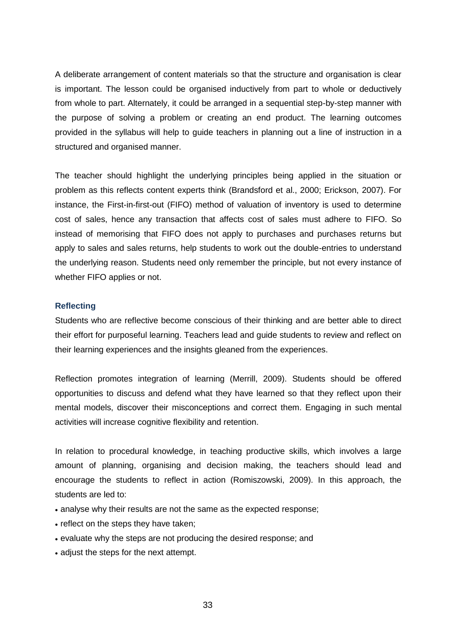A deliberate arrangement of content materials so that the structure and organisation is clear is important. The lesson could be organised inductively from part to whole or deductively from whole to part. Alternately, it could be arranged in a sequential step-by-step manner with the purpose of solving a problem or creating an end product. The learning outcomes provided in the syllabus will help to guide teachers in planning out a line of instruction in a structured and organised manner.

The teacher should highlight the underlying principles being applied in the situation or problem as this reflects content experts think (Brandsford et al., 2000; Erickson, 2007). For instance, the First-in-first-out (FIFO) method of valuation of inventory is used to determine cost of sales, hence any transaction that affects cost of sales must adhere to FIFO. So instead of memorising that FIFO does not apply to purchases and purchases returns but apply to sales and sales returns, help students to work out the double-entries to understand the underlying reason. Students need only remember the principle, but not every instance of whether FIFO applies or not.

#### **Reflecting**

Students who are reflective become conscious of their thinking and are better able to direct their effort for purposeful learning. Teachers lead and guide students to review and reflect on their learning experiences and the insights gleaned from the experiences.

Reflection promotes integration of learning (Merrill, 2009). Students should be offered opportunities to discuss and defend what they have learned so that they reflect upon their mental models, discover their misconceptions and correct them. Engaging in such mental activities will increase cognitive flexibility and retention.

In relation to procedural knowledge, in teaching productive skills, which involves a large amount of planning, organising and decision making, the teachers should lead and encourage the students to reflect in action (Romiszowski, 2009). In this approach, the students are led to:

- analyse why their results are not the same as the expected response;
- reflect on the steps they have taken;
- evaluate why the steps are not producing the desired response; and
- adjust the steps for the next attempt.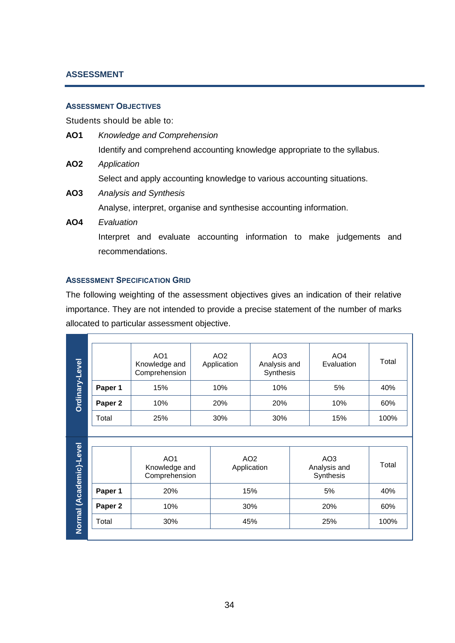### **ASSESSMENT**

#### **ASSESSMENT OBJECTIVES**

Students should be able to:

| AO1           | Knowledge and Comprehension                                               |
|---------------|---------------------------------------------------------------------------|
|               | Identify and comprehend accounting knowledge appropriate to the syllabus. |
| AO2           | Application                                                               |
|               | Select and apply accounting knowledge to various accounting situations.   |
| $\ddot{\sim}$ | Array brack and $\Omega$ and $\ell$                                       |

- **AO3** *Analysis and Synthesis* Analyse, interpret, organise and synthesise accounting information.
- **AO4** *Evaluation* Interpret and evaluate accounting information to make judgements and recommendations.

#### **ASSESSMENT SPECIFICATION GRID**

The following weighting of the assessment objectives gives an indication of their relative importance. They are not intended to provide a precise statement of the number of marks allocated to particular assessment objective.

| Ordinary-Level |         | AO <sub>1</sub><br>Knowledge and<br>Comprehension | AO <sub>2</sub><br>Application | AO <sub>3</sub><br>Analysis and<br>Synthesis | AO <sub>4</sub><br>Evaluation | Total |
|----------------|---------|---------------------------------------------------|--------------------------------|----------------------------------------------|-------------------------------|-------|
|                | Paper 1 | 15%                                               | 10%                            | 10%                                          | 5%                            | 40%   |
|                | Paper 2 | 10%                                               | 20%                            | 20%                                          | 10%                           | 60%   |
|                | Total   | 25%                                               | 30%                            | 30%                                          | 15%                           | 100%  |

| <u>Level</u> |  |
|--------------|--|
|              |  |
|              |  |
|              |  |
|              |  |
|              |  |
|              |  |
|              |  |
|              |  |
| Academic)-L  |  |
|              |  |
|              |  |
|              |  |
|              |  |
|              |  |
|              |  |
|              |  |
| lormal       |  |
|              |  |
|              |  |
|              |  |
|              |  |

|         | AO <sub>1</sub><br>Knowledge and<br>Comprehension | AO <sub>2</sub><br>Application | AO <sub>3</sub><br>Analysis and<br>Synthesis | Total |
|---------|---------------------------------------------------|--------------------------------|----------------------------------------------|-------|
| Paper 1 | 20%                                               | 15%                            | 5%                                           | 40%   |
| Paper 2 | 10%                                               | 30%                            | 20%                                          | 60%   |
| Total   | 30%                                               | 45%                            | 25%                                          | 100%  |